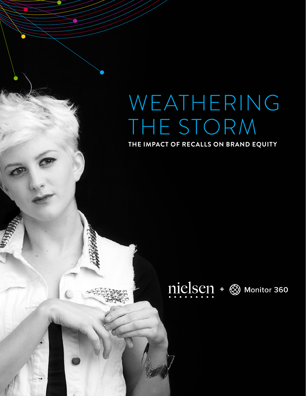# WEATHERING THE STORM

**THE IMPACT OF RECALLS ON BRAND EQUITY**

# nielsen + & Monitor 360

**1** BRAND RECALL WHITEPHONE CONTINUES IN THE RECALL WHITEPAPER CONTINUES IN THE RECALL WHITEPAPER CONTINUES IN THE RECORD FOR THE RECORD FOR THE RECORD FOR THE RECORD FOR THE RECORD FOR THE RECORD FOR THE RECORD FOR THE RE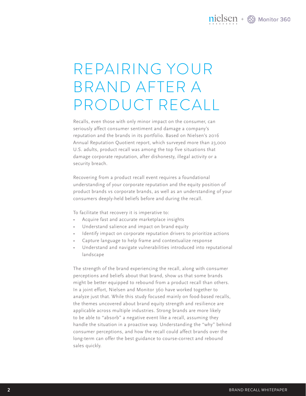### REPAIRING YOUR BRAND AFTER A PRODUCT RECALL

Recalls, even those with only minor impact on the consumer, can seriously affect consumer sentiment and damage a company's reputation and the brands in its portfolio. Based on Nielsen's 2016 Annual Reputation Quotient report, which surveyed more than 23,000 U.S. adults, product recall was among the top five situations that damage corporate reputation, after dishonesty, illegal activity or a security breach.

Recovering from a product recall event requires a foundational understanding of your corporate reputation and the equity position of product brands vs corporate brands, as well as an understanding of your consumers deeply-held beliefs before and during the recall.

To facilitate that recovery it is imperative to:

- • Acquire fast and accurate marketplace insights
- Understand salience and impact on brand equity
- Identify impact on corporate reputation drivers to prioritize actions
- Capture language to help frame and contextualize response
- Understand and navigate vulnerabilities introduced into reputational landscape

The strength of the brand experiencing the recall, along with consumer perceptions and beliefs about that brand, show us that some brands might be better equipped to rebound from a product recall than others. In a joint effort, Nielsen and Monitor 360 have worked together to analyze just that. While this study focused mainly on food-based recalls, the themes uncovered about brand equity strength and resilience are applicable across multiple industries. Strong brands are more likely to be able to "absorb" a negative event like a recall, assuming they handle the situation in a proactive way. Understanding the "why" behind consumer perceptions, and how the recall could affect brands over the long-term can offer the best guidance to course-correct and rebound sales quickly.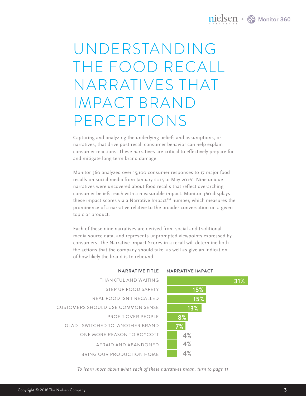### $nielsen +  $\otimes$  Monitor 360$

# UNDERSTANDING THE FOOD RECALL NARRATIVES THAT IMPACT BRAND PERCEPTIONS

Capturing and analyzing the underlying beliefs and assumptions, or narratives, that drive post-recall consumer behavior can help explain consumer reactions. These narratives are critical to effectively prepare for and mitigate long-term brand damage.

Monitor 360 analyzed over 15,100 consumer responses to 17 major food recalls on social media from January 2015 to May 20161 . Nine unique narratives were uncovered about food recalls that reflect overarching consumer beliefs, each with a measurable impact. Monitor 360 displays these impact scores via a Narrative Impact™ number, which measures the prominence of a narrative relative to the broader conversation on a given topic or product.

Each of these nine narratives are derived from social and traditional media source data, and represents unprompted viewpoints expressed by consumers. The Narrative Impact Scores in a recall will determine both the actions that the company should take, as well as give an indication of how likely the brand is to rebound.

| THANKFUI AND WAITING                    |
|-----------------------------------------|
| STEP UP FOOD SAFFTY                     |
| REAL FOOD ISN'T RECALLED                |
| CUSTOMERS SHOULD USE COMMON SENSE       |
| PROFIT OVER PEOPLE                      |
| <b>GLAD I SWITCHED TO ANOTHER BRAND</b> |
| ONE MORE REASON TO BOYCOTT              |
| AFRAID AND ABANDONED                    |
| BRING OUR PRODUCTION HOME               |



*To learn more about what each of these narratives mean, turn to page 11*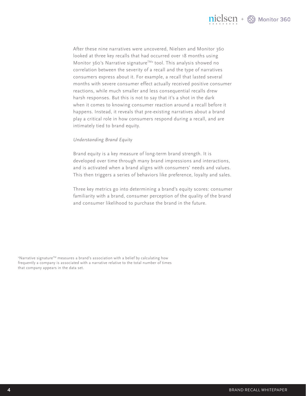

After these nine narratives were uncovered, Nielsen and Monitor 360 looked at three key recalls that had occurred over 18 months using Monitor 360's Narrative signature<sup>™</sup> tool. This analysis showed no correlation between the severity of a recall and the type of narratives consumers express about it. For example, a recall that lasted several months with severe consumer effect actually received positive consumer reactions, while much smaller and less consequential recalls drew harsh responses. But this is not to say that it's a shot in the dark when it comes to knowing consumer reaction around a recall before it happens. Instead, it reveals that pre-existing narratives about a brand play a critical role in how consumers respond during a recall, and are intimately tied to brand equity.

#### *Understanding Brand Equity*

Brand equity is a key measure of long-term brand strength. It is developed over time through many brand impressions and interactions, and is activated when a brand aligns with consumers' needs and values. This then triggers a series of behaviors like preference, loyalty and sales.

Three key metrics go into determining a brand's equity scores: consumer familiarity with a brand, consumer perception of the quality of the brand and consumer likelihood to purchase the brand in the future.

 $2^{\circ}$ Narrative signature™ measures a brand's association with a belief by calculating how frequently a company is associated with a narrative relative to the total number of times that company appears in the data set.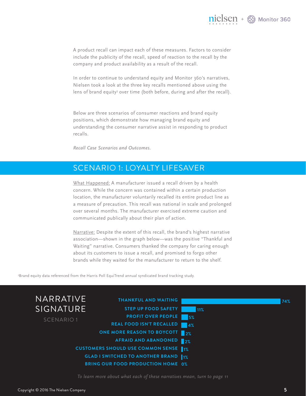

A product recall can impact each of these measures. Factors to consider include the publicity of the recall, speed of reaction to the recall by the company and product availability as a result of the recall.

In order to continue to understand equity and Monitor 360's narratives, Nielsen took a look at the three key recalls mentioned above using the lens of brand equity<sup>3</sup> over time (both before, during and after the recall).

Below are three scenarios of consumer reactions and brand equity positions, which demonstrate how managing brand equity and understanding the consumer narrative assist in responding to product recalls.

*Recall Case Scenarios and Outcomes.*

### SCENARIO 1: LOYALTY LIFESAVER

What Happened: A manufacturer issued a recall driven by a health concern. While the concern was contained within a certain production location, the manufacturer voluntarily recalled its entire product line as a measure of precaution. This recall was national in scale and prolonged over several months. The manufacturer exercised extreme caution and communicated publically about their plan of action.

Narrative: Despite the extent of this recall, the brand's highest narrative association—shown in the graph below—was the positive "Thankful and Waiting" narrative. Consumers thanked the company for caring enough about its customers to issue a recall, and promised to forgo other brands while they waited for the manufacturer to return to the shelf.

3 Brand equity data referenced from the Harris Poll EquiTrend annual syndicated brand tracking study.



*To learn more about what each of these narratives mean, turn to page 11*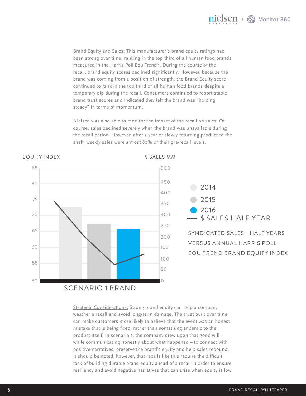

Brand Equity and Sales: This manufacturer's brand equity ratings had been strong over time, ranking in the top third of all human food brands measured in the Harris Poll EquiTrend®. During the course of the recall, brand equity scores declined significantly. However, because the brand was coming from a position of strength, the Brand Equity score continued to rank in the top third of all human food brands despite a temporary dip during the recall. Consumers continued to report stable brand trust scores and indicated they felt the brand was "holding steady" in terms of momentum.

Nielsen was also able to monitor the impact of the recall on sales. Of course, sales declined severely when the brand was unavailable during the recall period. However, after a year of slowly returning product to the shelf, weekly sales were almost 80% of their pre-recall levels.



Strategic Considerations: Strong brand equity can help a company weather a recall and avoid long-term damage. The trust built over time can make customers more likely to believe that the event was an honest mistake that is being fixed, rather than something endemic to the product itself. In scenario 1, the company drew upon that good will – while communicating honestly about what happened – to connect with positive narratives, preserve the brand's equity and help sales rebound. It should be noted, however, that recalls like this require the difficult task of building durable brand equity ahead of a recall in order to ensure resiliency and avoid negative narratives that can arise when equity is low.

#### EQUITY INDEX \$ SALES MM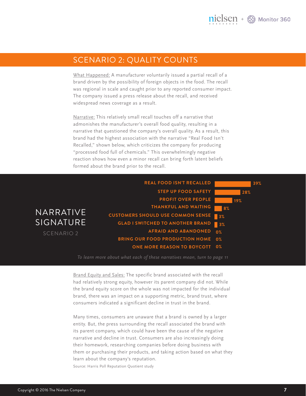#### SCENARIO 2: QUALITY COUNTS

What Happened: A manufacturer voluntarily issued a partial recall of a brand driven by the possibility of foreign objects in the food. The recall was regional in scale and caught prior to any reported consumer impact. The company issued a press release about the recall, and received widespread news coverage as a result.

Narrative: This relatively small recall touches off a narrative that admonishes the manufacturer's overall food quality, resulting in a narrative that questioned the company's overall quality. As a result, this brand had the highest association with the narrative "Real Food Isn't Recalled," shown below, which criticizes the company for producing "processed food full of chemicals." This overwhelmingly negative reaction shows how even a minor recall can bring forth latent beliefs formed about the brand prior to the recall.

|                       | <b>REAL FOOD ISN'T RECALLED</b><br>39%                       |
|-----------------------|--------------------------------------------------------------|
|                       | <b>STEP UP FOOD SAFETY</b><br>28%                            |
|                       | <b>PROFIT OVER PEOPLE</b><br>19%                             |
|                       | <b>THANKFUL AND WAITING</b><br>l 8%                          |
| <b>NARRATIVE</b>      | <b>CUSTOMERS SHOULD USE COMMON SENSE</b><br>13%              |
| SIGNATURE             | <b>GLAD I SWITCHED TO ANOTHER BRAND</b><br>$\blacksquare$ 3% |
| SCENARIO <sub>2</sub> | <b>AFRAID AND ABANDONED</b><br>0%                            |
|                       | <b>BRING OUR FOOD PRODUCTION HOME 0%</b>                     |
|                       | <b>ONE MORE REASON TO BOYCOTT 0%</b>                         |
|                       |                                                              |

*To learn more about what each of these narratives mean, turn to page 11*

Brand Equity and Sales: The specific brand associated with the recall had relatively strong equity, however its parent company did not. While the brand equity score on the whole was not impacted for the individual brand, there was an impact on a supporting metric, brand trust, where consumers indicated a significant decline in trust in the brand.

Many times, consumers are unaware that a brand is owned by a larger entity. But, the press surrounding the recall associated the brand with its parent company, which could have been the cause of the negative narrative and decline in trust. Consumers are also increasingly doing their homework, researching companies before doing business with them or purchasing their products, and taking action based on what they learn about the company's reputation.

Source: Harris Poll Reputation Quotient study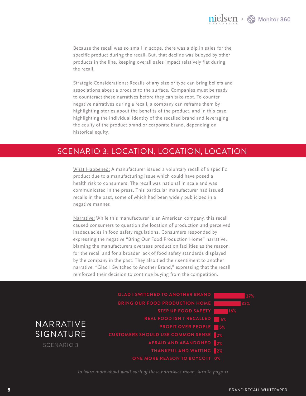Because the recall was so small in scope, there was a dip in sales for the specific product during the recall. But, that decline was buoyed by other products in the line, keeping overall sales impact relatively flat during the recall.

Strategic Considerations: Recalls of any size or type can bring beliefs and associations about a product to the surface. Companies must be ready to counteract these narratives before they can take root. To counter negative narratives during a recall, a company can reframe them by highlighting stories about the benefits of the product, and in this case, highlighting the individual identity of the recalled brand and leveraging the equity of the product brand or corporate brand, depending on historical equity.

### SCENARIO 3: LOCATION, LOCATION, LOCATION

What Happened: A manufacturer issued a voluntary recall of a specific product due to a manufacturing issue which could have posed a health risk to consumers. The recall was national in scale and was communicated in the press. This particular manufacturer had issued recalls in the past, some of which had been widely publicized in a negative manner.

Narrative: While this manufacturer is an American company, this recall caused consumers to question the location of production and perceived inadequacies in food safety regulations. Consumers responded by expressing the negative "Bring Our Food Production Home" narrative, blaming the manufacturers overseas production facilities as the reason for the recall and for a broader lack of food safety standards displayed by the company in the past. They also tied their sentiment to another narrative, "Glad I Switched to Another Brand," expressing that the recall reinforced their decision to continue buying from the competition.

|                   | <b>GLAD I SWITCHED TO ANOTHER BRAND</b><br>37% |
|-------------------|------------------------------------------------|
|                   | <b>BRING OUR FOOD PRODUCTION HOME</b><br>32%   |
|                   | STEP UP FOOD SAFETY<br>16%                     |
|                   | <b>REAL FOOD ISN'T RECALLED</b><br>$\vert$ 6%  |
| NARRATIVE         | <b>PROFIT OVER PEOPLE</b><br>$\blacksquare$ 5% |
| <b>SIGNATURE</b>  | <b>CUSTOMERS SHOULD USE COMMON SENSE 2%</b>    |
| <b>SCENARIO 3</b> | AFRAID AND ABANDONED 2%                        |
|                   | THANKFUL AND WAITING 2%                        |
|                   | <b>ONE MORE REASON TO BOYCOTT 0%</b>           |

*To learn more about what each of these narratives mean, turn to page 11*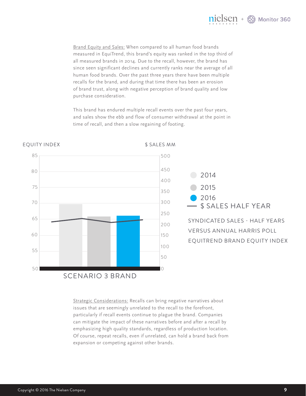

Brand Equity and Sales: When compared to all human food brands measured in EquiTrend, this brand's equity was ranked in the top third of all measured brands in 2014. Due to the recall, however, the brand has since seen significant declines and currently ranks near the average of all human food brands. Over the past three years there have been multiple recalls for the brand, and during that time there has been an erosion of brand trust, along with negative perception of brand quality and low purchase consideration.

This brand has endured multiple recall events over the past four years, and sales show the ebb and flow of consumer withdrawal at the point in time of recall, and then a slow regaining of footing.



Strategic Considerations: Recalls can bring negative narratives about issues that are seemingly unrelated to the recall to the forefront, particularly if recall events continue to plague the brand. Companies can mitigate the impact of these narratives before and after a recall by emphasizing high quality standards, regardless of production location. Of course, repeat recalls, even if unrelated, can hold a brand back from expansion or competing against other brands.

#### EQUITY INDEX \$ SALES MM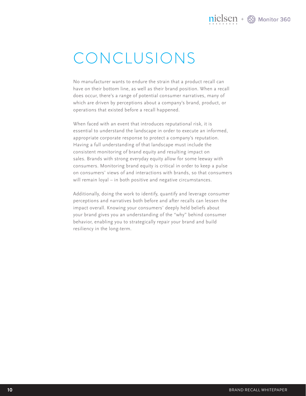### CONCLUSIONS

No manufacturer wants to endure the strain that a product recall can have on their bottom line, as well as their brand position. When a recall does occur, there's a range of potential consumer narratives, many of which are driven by perceptions about a company's brand, product, or operations that existed before a recall happened.

When faced with an event that introduces reputational risk, it is essential to understand the landscape in order to execute an informed, appropriate corporate response to protect a company's reputation. Having a full understanding of that landscape must include the consistent monitoring of brand equity and resulting impact on sales. Brands with strong everyday equity allow for some leeway with consumers. Monitoring brand equity is critical in order to keep a pulse on consumers' views of and interactions with brands, so that consumers will remain loyal – in both positive and negative circumstances.

Additionally, doing the work to identify, quantify and leverage consumer perceptions and narratives both before and after recalls can lessen the impact overall. Knowing your consumers' deeply held beliefs about your brand gives you an understanding of the "why" behind consumer behavior, enabling you to strategically repair your brand and build resiliency in the long-term.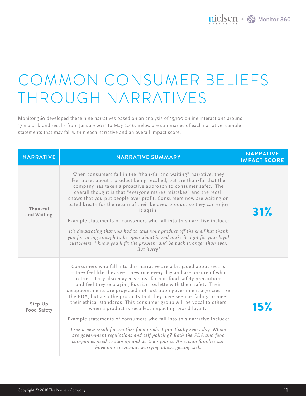# COMMON CONSUMER BELIEFS THROUGH NARRATIVES

Monitor 360 developed these nine narratives based on an analysis of 15,100 online interactions around 17 major brand recalls from January 2015 to May 2016. Below are summaries of each narrative, sample statements that may fall within each narrative and an overall impact score.

| <b>NARRATIVE</b>              | <b>NARRATIVE SUMMARY</b>                                                                                                                                                                                                                                                                                                                                                                                                                                                                                                                                                                                                                                                                                                                                                                                                                                                                                                         | <b>NARRATIVE</b><br><b>IMPACT SCORE</b> |
|-------------------------------|----------------------------------------------------------------------------------------------------------------------------------------------------------------------------------------------------------------------------------------------------------------------------------------------------------------------------------------------------------------------------------------------------------------------------------------------------------------------------------------------------------------------------------------------------------------------------------------------------------------------------------------------------------------------------------------------------------------------------------------------------------------------------------------------------------------------------------------------------------------------------------------------------------------------------------|-----------------------------------------|
| Thankful<br>and Waiting       | When consumers fall in the "thankful and waiting" narrative, they<br>feel upset about a product being recalled, but are thankful that the<br>company has taken a proactive approach to consumer safety. The<br>overall thought is that "everyone makes mistakes" and the recall<br>shows that you put people over profit. Consumers now are waiting on<br>bated breath for the return of their beloved product so they can enjoy<br>it again.<br>Example statements of consumers who fall into this narrative include:<br>It's devastating that you had to take your product off the shelf but thank<br>you for caring enough to be open about it and make it right for your loyal<br>customers. I know you'll fix the problem and be back stronger than ever.<br>But hurry!                                                                                                                                                     | 31%                                     |
| Step Up<br><b>Food Safety</b> | Consumers who fall into this narrative are a bit jaded about recalls<br>– they feel like they see a new one every day and are unsure of who<br>to trust. They also may have lost faith in food safety precautions<br>and feel they're playing Russian roulette with their safety. Their<br>disappointments are projected not just upon government agencies like<br>the FDA, but also the products that they have seen as failing to meet<br>their ethical standards. This consumer group will be vocal to others<br>when a product is recalled, impacting brand loyalty.<br>Example statements of consumers who fall into this narrative include:<br>I see a new recall for another food product practically every day. Where<br>are government regulations and self-policing? Both the FDA and food<br>companies need to step up and do their jobs so American families can<br>have dinner without worrying about getting sick. | 15%                                     |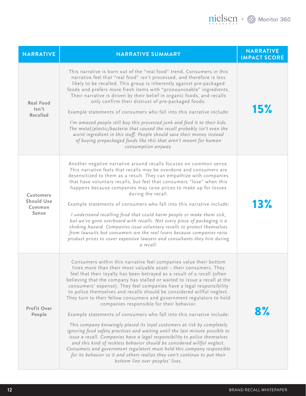| <b>NARRATIVE</b>                                         | <b>NARRATIVE SUMMARY</b>                                                                                                                                                                                                                                                                                                                                                                                                                                                                                                                                                                                                                                                                                                                                                                                                                                                                                                                                                                                                                                                                                                                                          | <b>NARRATIVE</b><br><b>IMPACT SCORE</b> |
|----------------------------------------------------------|-------------------------------------------------------------------------------------------------------------------------------------------------------------------------------------------------------------------------------------------------------------------------------------------------------------------------------------------------------------------------------------------------------------------------------------------------------------------------------------------------------------------------------------------------------------------------------------------------------------------------------------------------------------------------------------------------------------------------------------------------------------------------------------------------------------------------------------------------------------------------------------------------------------------------------------------------------------------------------------------------------------------------------------------------------------------------------------------------------------------------------------------------------------------|-----------------------------------------|
| Real Food<br>$\mathsf{lsn't}$<br>Recalled                | This narrative is born out of the "real food" trend. Consumers in this<br>narrative feel that "real food" isn't processed, and therefore is less<br>likely to be recalled. This group is inherently against pre-packaged<br>foods and prefers more fresh items with "pronounceable" ingredients.<br>Their narrative is driven by their belief in organic foods, and recalls<br>only confirm their distrust of pre-packaged foods.<br>Example statements of consumers who fall into this narrative include:<br>I'm amazed people still buy this processed junk and feed it to their kids.<br>The metal/plastic/bacteria that caused the recall probably isn't even the<br>worst ingredient in this stuff. People should save their money instead<br>of buying prepackaged foods like this that aren't meant for human<br>consumption anyway.                                                                                                                                                                                                                                                                                                                       | 15%                                     |
| <b>Customers</b><br><b>Should Use</b><br>Common<br>Sense | Another negative narrative around recalls focuses on common sense.<br>This narrative feels that recalls may be overdone and consumers are<br>desensitized to them as a result. They can empathize with companies<br>that have voluntary recalls, but feel that consumers "lose" when this<br>happens because companies may raise prices to make up for losses<br>during the recall.<br>Example statements of consumers who fall into this narrative include:<br>I understand recalling food that could harm people or make them sick,<br>but we've gone overboard with recalls. Not every piece of packaging is a<br>choking hazard. Companies issue voluntary recalls to protect themselves<br>from lawsuits but consumers are the real losers because companies raise<br>product prices to cover expensive lawyers and consultants they hire during<br>a recall.                                                                                                                                                                                                                                                                                                | 13%                                     |
| <b>Profit Over</b><br>People                             | Consumers within this narrative feel companies value their bottom<br>lines more than their most valuable asset - their consumers. They<br>feel that their loyalty has been betrayed as a result of a recall (often<br>believing that the company has stalled or waited to issue a recall at the<br>consumers' expense). They feel companies have a legal responsibility<br>to police themselves and recalls should be considered willful neglect.<br>They turn to their fellow consumers and government regulators to hold<br>companies responsible for their behavior.<br>Example statements of consumers who fall into this narrative include:<br>This company knowingly placed its loyal customers at risk by completely<br>ignoring food safety practices and waiting until the last minute possible to<br>issue a recall. Companies have a legal responsibility to police themselves<br>and this kind of reckless behavior should be considered willful neglect.<br>Consumers and government regulators must hold this company responsible<br>for its behavior so it and others realize they can't continue to put their<br>bottom line over peoples' lives. | 8%                                      |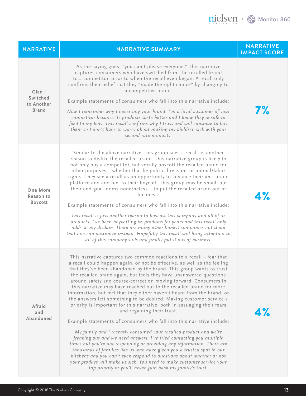| <b>NARRATIVE</b>                                 | <b>NARRATIVE SUMMARY</b>                                                                                                                                                                                                                                                                                                                                                                                                                                                                                                                                                                                                                                                                                                                                                                                                                                                                                                                                                                                                                                                                                                                                                                                                                                                                      | <b>NARRATIVE</b><br><b>IMPACT SCORE</b> |
|--------------------------------------------------|-----------------------------------------------------------------------------------------------------------------------------------------------------------------------------------------------------------------------------------------------------------------------------------------------------------------------------------------------------------------------------------------------------------------------------------------------------------------------------------------------------------------------------------------------------------------------------------------------------------------------------------------------------------------------------------------------------------------------------------------------------------------------------------------------------------------------------------------------------------------------------------------------------------------------------------------------------------------------------------------------------------------------------------------------------------------------------------------------------------------------------------------------------------------------------------------------------------------------------------------------------------------------------------------------|-----------------------------------------|
| Glad I<br>Switched<br>to Another<br><b>Brand</b> | As the saying goes, "you can't please everyone." This narrative<br>captures consumers who have switched from the recalled brand<br>to a competitor, prior to when the recall even began. A recall only<br>confirms their belief that they "made the right choice" by changing to<br>a competitive brand.<br>Example statements of consumers who fall into this narrative include:<br>Now I remember why I never buy your brand. I'm a loyal customer of your<br>competitor because its products taste better and I know they're safe to<br>feed to my kids. This recall confirms why I trust and will continue to buy<br>them so I don't have to worry about making my children sick with your<br>second-rate products.                                                                                                                                                                                                                                                                                                                                                                                                                                                                                                                                                                       | <b>7%</b>                               |
| One More<br>Reason to<br>Boycott                 | Similar to the above narrative, this group sees a recall as another<br>reason to dislike the recalled brand. This narrative group is likely to<br>not only buy a competitor, but vocally boycott the recalled brand for<br>other purposes - whether that be political reasons or animal/labor<br>rights. They see a recall as an opportunity to advance their anti-brand<br>platform and add fuel to their boycott. This group may be small, but<br>their end goal looms nonetheless - to put the recalled brand out of<br>business.<br>Example statements of consumers who fall into this narrative include:<br>This recall is just another reason to boycott this company and all of its<br>products. I've been boycotting its products for years and this recall only<br>adds to my disdain. There are many other honest companies out there<br>that one can patronize instead. Hopefully this recall will bring attention to<br>all of this company's ills and finally put it out of business.                                                                                                                                                                                                                                                                                            | 4%                                      |
| Afraid<br>and<br>Abandoned                       | This narrative captures two common reactions to a recall - fear that<br>a recall could happen again, or not be effective, as well as the feeling<br>that they've been abandoned by the brand. This group wants to trust<br>the recalled brand again, but feels they have unanswered questions<br>around safety and course-correction moving forward. Consumers in<br>this narrative may have reached out to the recalled brand for more<br>information, but feel that they either haven't heard from the brand, or<br>the answers left something to be desired. Making customer service a<br>priority is important for this narrative, both in assuaging their fears<br>and regaining their trust.<br>Example statements of consumers who fall into this narrative include:<br>My family and I recently consumed your recalled product and we're<br>freaking out and we need answers. I've tried contacting you multiple<br>times but you're not responding or providing any information. There are<br>thousands of families like us who have given you a trusted spot in our<br>kitchens and you can't even respond to questions about whether or not<br>your product will make us sick. You need to make customer service your<br>top priority or you'll never gain back my family's trust. | 4%                                      |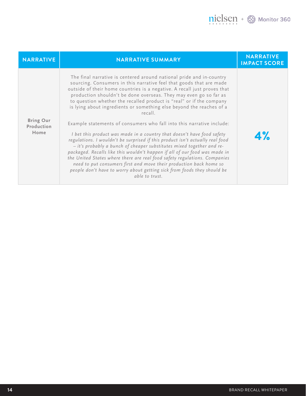| <b>NARRATIVE</b>                       | <b>NARRATIVE SUMMARY</b>                                                                                                                                                                                                                                                                                                                                                                                                                                                                                                                                       | <b>NARRATIVE</b><br><b>IMPACT SCORE</b> |
|----------------------------------------|----------------------------------------------------------------------------------------------------------------------------------------------------------------------------------------------------------------------------------------------------------------------------------------------------------------------------------------------------------------------------------------------------------------------------------------------------------------------------------------------------------------------------------------------------------------|-----------------------------------------|
| <b>Bring Our</b><br>Production<br>Home | The final narrative is centered around national pride and in-country<br>sourcing. Consumers in this narrative feel that goods that are made<br>outside of their home countries is a negative. A recall just proves that<br>production shouldn't be done overseas. They may even go so far as<br>to question whether the recalled product is "real" or if the company<br>is lying about ingredients or something else beyond the reaches of a<br>recall.                                                                                                        |                                         |
|                                        | Example statements of consumers who fall into this narrative include:                                                                                                                                                                                                                                                                                                                                                                                                                                                                                          |                                         |
|                                        | I bet this product was made in a country that doesn't have food safety<br>regulations. I wouldn't be surprised if this product isn't actually real food<br>- it's probably a bunch of cheaper substitutes mixed together and re-<br>packaged. Recalls like this wouldn't happen if all of our food was made in<br>the United States where there are real food safety regulations. Companies<br>need to put consumers first and move their production back home so<br>people don't have to worry about getting sick from foods they should be<br>able to trust. | 4%                                      |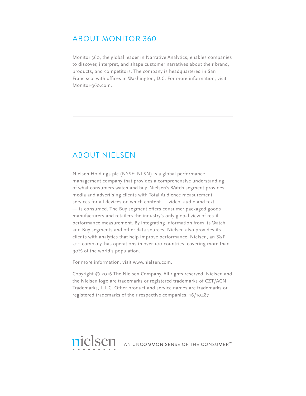#### ABOUT MONITOR 360

Monitor 360, the global leader in Narrative Analytics, enables companies to discover, interpret, and shape customer narratives about their brand, products, and competitors. The company is headquartered in San Francisco, with offices in Washington, D.C. For more information, visit Monitor-360.com.

#### ABOUT NIELSEN

Nielsen Holdings plc (NYSE: NLSN) is a global performance management company that provides a comprehensive understanding of what consumers watch and buy. Nielsen's Watch segment provides media and advertising clients with Total Audience measurement services for all devices on which content — video, audio and text — is consumed. The Buy segment offers consumer packaged goods manufacturers and retailers the industry's only global view of retail performance measurement. By integrating information from its Watch and Buy segments and other data sources, Nielsen also provides its clients with analytics that help improve performance. Nielsen, an S&P 500 company, has operations in over 100 countries, covering more than 90% of the world's population.

For more information, visit www.nielsen.com.

Copyright © 2016 The Nielsen Company. All rights reserved. Nielsen and the Nielsen logo are trademarks or registered trademarks of CZT/ACN Trademarks, L.L.C. Other product and service names are trademarks or registered trademarks of their respective companies. 16/10487

nielsen AN UNCOMMON SENSE OF THE CONSUMER<sup>TM</sup>